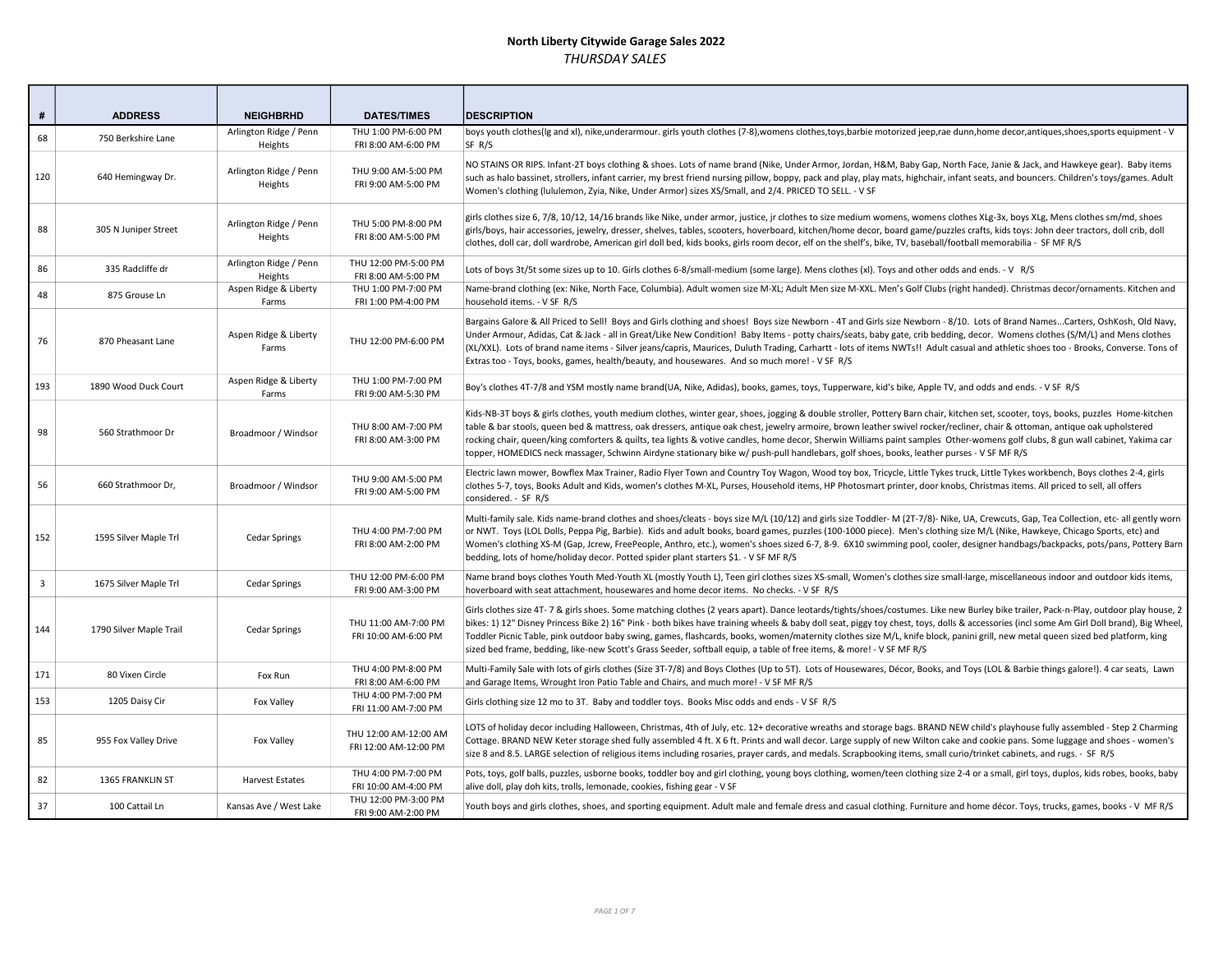| #              | <b>ADDRESS</b>          | <b>NEIGHBRHD</b>                  | <b>DATES/TIMES</b>                             | <b>DESCRIPTION</b>                                                                                                                                                                                                                                                                                                                                                                                                                                                                                                                                                                                                                                                                            |
|----------------|-------------------------|-----------------------------------|------------------------------------------------|-----------------------------------------------------------------------------------------------------------------------------------------------------------------------------------------------------------------------------------------------------------------------------------------------------------------------------------------------------------------------------------------------------------------------------------------------------------------------------------------------------------------------------------------------------------------------------------------------------------------------------------------------------------------------------------------------|
| 68             | 750 Berkshire Lane      | Arlington Ridge / Penn<br>Heights | THU 1:00 PM-6:00 PM<br>FRI 8:00 AM-6:00 PM     | boys youth clothes(Ig and xI), nike,underarmour. girls youth clothes (7-8),womens clothes,toys,barbie motorized jeep,rae dunn,home decor,antiques,shoes,sports equipment - V<br>SF R/S                                                                                                                                                                                                                                                                                                                                                                                                                                                                                                        |
| 120            | 640 Hemingway Dr.       | Arlington Ridge / Penn<br>Heights | THU 9:00 AM-5:00 PM<br>FRI 9:00 AM-5:00 PM     | NO STAINS OR RIPS. Infant-2T boys clothing & shoes. Lots of name brand (Nike, Under Armor, Jordan, H&M, Baby Gap, North Face, Janie & Jack, and Hawkeye gear). Baby items<br>such as halo bassinet, strollers, infant carrier, my brest friend nursing pillow, boppy, pack and play, play mats, highchair, infant seats, and bouncers. Children's toys/games. Adult<br>Women's clothing (lululemon, Zyia, Nike, Under Armor) sizes XS/Small, and 2/4. PRICED TO SELL. - V SF                                                                                                                                                                                                                  |
| 88             | 305 N Juniper Street    | Arlington Ridge / Penn<br>Heights | THU 5:00 PM-8:00 PM<br>FRI 8:00 AM-5:00 PM     | girls clothes size 6, 7/8, 10/12, 14/16 brands like Nike, under armor, justice, jr clothes to size medium womens, womens clothes XLg-3x, boys XLg, Mens clothes sm/md, shoes<br>girls/boys, hair accessories, jewelry, dresser, shelves, tables, scooters, hoverboard, kitchen/home decor, board game/puzzles crafts, kids toys: John deer tractors, doll crib, doll<br>clothes, doll car, doll wardrobe, American girl doll bed, kids books, girls room decor, elf on the shelf's, bike, TV, baseball/football memorabilia - SF MF R/S                                                                                                                                                       |
| 86             | 335 Radcliffe dr        | Arlington Ridge / Penn<br>Heights | THU 12:00 PM-5:00 PM<br>FRI 8:00 AM-5:00 PM    | Lots of boys 3t/5t some sizes up to 10. Girls clothes 6-8/small-medium (some large). Mens clothes (xl). Toys and other odds and ends. - V R/S                                                                                                                                                                                                                                                                                                                                                                                                                                                                                                                                                 |
| 48             | 875 Grouse Ln           | Aspen Ridge & Liberty<br>Farms    | THU 1:00 PM-7:00 PM<br>FRI 1:00 PM-4:00 PM     | Name-brand clothing (ex: Nike, North Face, Columbia). Adult women size M-XL; Adult Men size M-XXL. Men's Golf Clubs (right handed). Christmas decor/ornaments. Kitchen and<br>household items. - V SF R/S                                                                                                                                                                                                                                                                                                                                                                                                                                                                                     |
| 76             | 870 Pheasant Lane       | Aspen Ridge & Liberty<br>Farms    | THU 12:00 PM-6:00 PM                           | Bargains Galore & All Priced to Sell! Boys and Girls clothing and shoes! Boys size Newborn - 4T and Girls size Newborn - 8/10. Lots of Brand NamesCarters, OshKosh, Old Navy,<br>Under Armour, Adidas, Cat & Jack - all in Great/Like New Condition! Baby Items - potty chairs/seats, baby gate, crib bedding, decor. Womens clothes (S/M/L) and Mens clothes<br>(XL/XXL). Lots of brand name items - Silver jeans/capris, Maurices, Duluth Trading, Carhartt - lots of items NWTs!! Adult casual and athletic shoes too - Brooks, Converse. Tons of<br>Extras too - Toys, books, games, health/beauty, and housewares. And so much more! - V SF R/S                                          |
| 193            | 1890 Wood Duck Court    | Aspen Ridge & Liberty<br>Farms    | THU 1:00 PM-7:00 PM<br>FRI 9:00 AM-5:30 PM     | Boy's clothes 4T-7/8 and YSM mostly name brand(UA, Nike, Adidas), books, games, toys, Tupperware, kid's bike, Apple TV, and odds and ends. - V SF R/S                                                                                                                                                                                                                                                                                                                                                                                                                                                                                                                                         |
| 98             | 560 Strathmoor Dr       | Broadmoor / Windsor               | THU 8:00 AM-7:00 PM<br>FRI 8:00 AM-3:00 PM     | Kids-NB-3T boys & girls clothes, youth medium clothes, winter gear, shoes, jogging & double stroller, Pottery Barn chair, kitchen set, scooter, toys, books, puzzles Home-kitchen<br>table & bar stools, queen bed & mattress, oak dressers, antique oak chest, jewelry armoire, brown leather swivel rocker/recliner, chair & ottoman, antique oak upholstered<br>rocking chair, queen/king comforters & quilts, tea lights & votive candles, home decor, Sherwin Williams paint samples Other-womens golf clubs, 8 gun wall cabinet, Yakima car<br>topper, HOMEDICS neck massager, Schwinn Airdyne stationary bike w/ push-pull handlebars, golf shoes, books, leather purses - V SF MF R/S |
| 56             | 660 Strathmoor Dr,      | Broadmoor / Windsor               | THU 9:00 AM-5:00 PM<br>FRI 9:00 AM-5:00 PM     | Electric lawn mower, Bowflex Max Trainer, Radio Flyer Town and Country Toy Wagon, Wood toy box, Tricycle, Little Tykes truck, Little Tykes workbench, Boys clothes 2-4, girls<br>clothes 5-7, toys, Books Adult and Kids, women's clothes M-XL, Purses, Household items, HP Photosmart printer, door knobs, Christmas items. All priced to sell, all offers<br>considered. - SF R/S                                                                                                                                                                                                                                                                                                           |
| 152            | 1595 Silver Maple Trl   | Cedar Springs                     | THU 4:00 PM-7:00 PM<br>FRI 8:00 AM-2:00 PM     | Multi-family sale. Kids name-brand clothes and shoes/cleats - boys size M/L (10/12) and girls size Toddler- M (2T-7/8)- Nike, UA, Crewcuts, Gap, Tea Collection, etc- all gently worn<br>or NWT. Toys (LOL Dolls, Peppa Pig, Barbie). Kids and adult books, board games, puzzles (100-1000 piece). Men's clothing size M/L (Nike, Hawkeye, Chicago Sports, etc) and<br>Women's clothing XS-M (Gap, Jcrew, FreePeople, Anthro, etc.), women's shoes sized 6-7, 8-9. 6X10 swimming pool, cooler, designer handbags/backpacks, pots/pans, Pottery Barn<br>bedding, lots of home/holiday decor. Potted spider plant starters \$1. - V SF MF R/S                                                   |
| $\overline{3}$ | 1675 Silver Maple Trl   | <b>Cedar Springs</b>              | THU 12:00 PM-6:00 PM<br>FRI 9:00 AM-3:00 PM    | Name brand boys clothes Youth Med-Youth XL (mostly Youth L), Teen girl clothes sizes XS-small, Women's clothes size small-large, miscellaneous indoor and outdoor kids items,<br>hoverboard with seat attachment, housewares and home decor items. No checks. - V SF R/S                                                                                                                                                                                                                                                                                                                                                                                                                      |
| 144            | 1790 Silver Maple Trail | <b>Cedar Springs</b>              | THU 11:00 AM-7:00 PM<br>FRI 10:00 AM-6:00 PM   | Girls clothes size 4T-7 & girls shoes. Some matching clothes (2 years apart). Dance leotards/tights/shoes/costumes. Like new Burley bike trailer, Pack-n-Play, outdoor play house, 2<br>bikes: 1) 12" Disney Princess Bike 2) 16" Pink - both bikes have training wheels & baby doll seat, piggy toy chest, toys, dolls & accessories (incl some Am Girl Doll brand), Big Wheel,<br>Toddler Picnic Table, pink outdoor baby swing, games, flashcards, books, women/maternity clothes size M/L, knife block, panini grill, new metal queen sized bed platform, king<br>sized bed frame, bedding, like-new Scott's Grass Seeder, softball equip, a table of free items, & more! - V SF MF R/S   |
| 171            | 80 Vixen Circle         | Fox Run                           | THU 4:00 PM-8:00 PM<br>FRI 8:00 AM-6:00 PM     | Multi-Family Sale with lots of girls clothes (Size 3T-7/8) and Boys Clothes (Up to 5T). Lots of Housewares, Décor, Books, and Toys (LOL & Barbie things galore!). 4 car seats, Lawn<br>and Garage Items, Wrought Iron Patio Table and Chairs, and much more! - V SF MF R/S                                                                                                                                                                                                                                                                                                                                                                                                                    |
| 153            | 1205 Daisy Cir          | <b>Fox Valley</b>                 | THU 4:00 PM-7:00 PM<br>FRI 11:00 AM-7:00 PM    | Girls clothing size 12 mo to 3T. Baby and toddler toys. Books Misc odds and ends - V SF R/S                                                                                                                                                                                                                                                                                                                                                                                                                                                                                                                                                                                                   |
| 85             | 955 Fox Valley Drive    | Fox Valley                        | THU 12:00 AM-12:00 AM<br>FRI 12:00 AM-12:00 PM | LOTS of holiday decor including Halloween, Christmas, 4th of July, etc. 12+ decorative wreaths and storage bags. BRAND NEW child's playhouse fully assembled - Step 2 Charming<br>Cottage. BRAND NEW Keter storage shed fully assembled 4 ft. X 6 ft. Prints and wall decor. Large supply of new Wilton cake and cookie pans. Some luggage and shoes - women's<br>size 8 and 8.5. LARGE selection of religious items including rosaries, prayer cards, and medals. Scrapbooking items, small curio/trinket cabinets, and rugs. - SF R/S                                                                                                                                                       |
| 82             | 1365 FRANKLIN ST        | <b>Harvest Estates</b>            | THU 4:00 PM-7:00 PM<br>FRI 10:00 AM-4:00 PM    | Pots, toys, golf balls, puzzles, usborne books, toddler boy and girl clothing, young boys clothing, women/teen clothing size 2-4 or a small, girl toys, duplos, kids robes, books, baby<br>alive doll, play doh kits, trolls, lemonade, cookies, fishing gear - V SF                                                                                                                                                                                                                                                                                                                                                                                                                          |
| 37             | 100 Cattail Ln          | Kansas Ave / West Lake            | THU 12:00 PM-3:00 PM<br>FRI 9:00 AM-2:00 PM    | Youth boys and girls clothes, shoes, and sporting equipment. Adult male and female dress and casual clothing. Furniture and home décor. Toys, trucks, games, books - V MFR/S                                                                                                                                                                                                                                                                                                                                                                                                                                                                                                                  |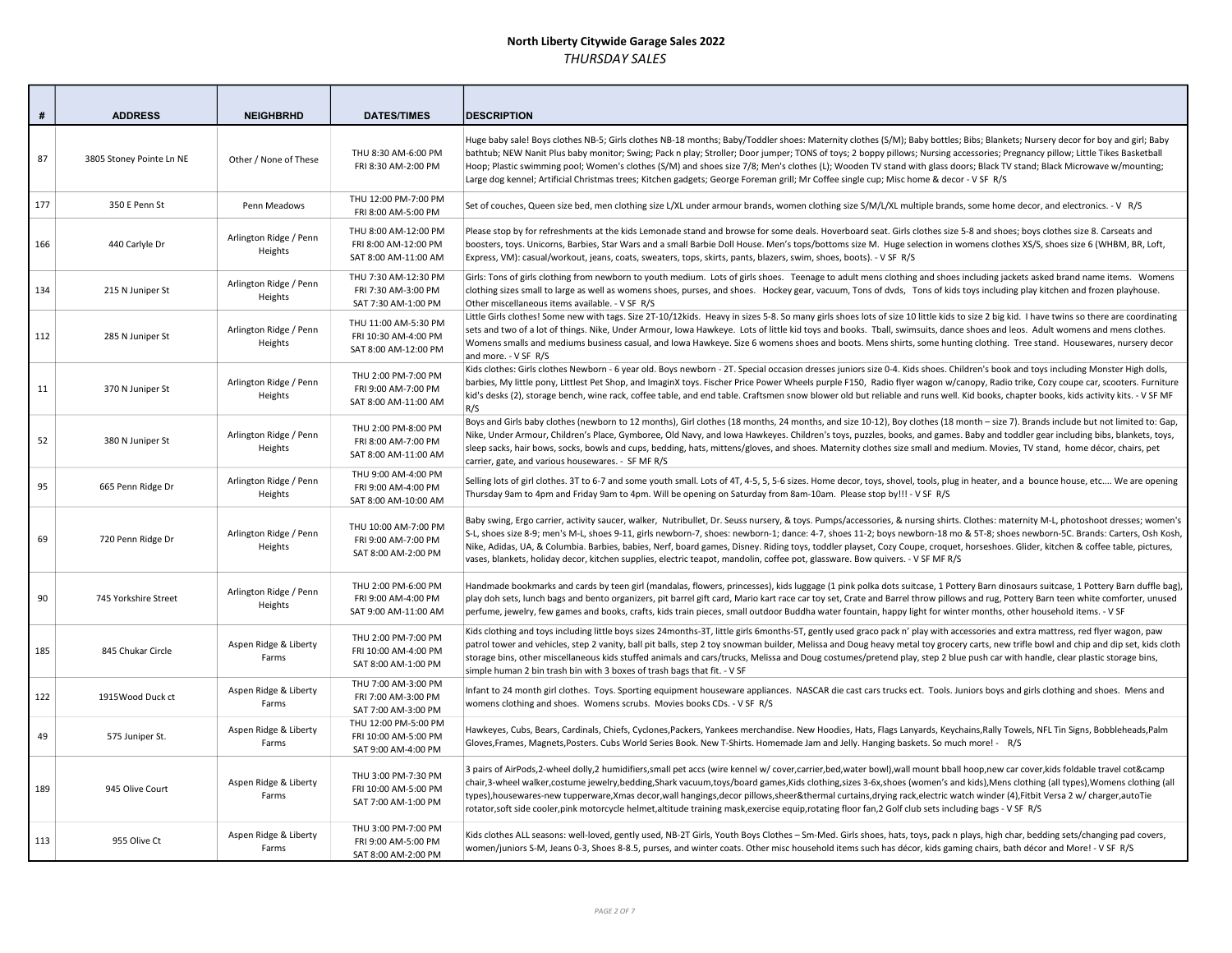| #   | <b>ADDRESS</b>           | <b>NEIGHBRHD</b>                  | <b>DATES/TIMES</b>                                                   | <b>DESCRIPTION</b>                                                                                                                                                                                                                                                                                                                                                                                                                                                                                                                                                                                                                                                                                  |
|-----|--------------------------|-----------------------------------|----------------------------------------------------------------------|-----------------------------------------------------------------------------------------------------------------------------------------------------------------------------------------------------------------------------------------------------------------------------------------------------------------------------------------------------------------------------------------------------------------------------------------------------------------------------------------------------------------------------------------------------------------------------------------------------------------------------------------------------------------------------------------------------|
| 87  | 3805 Stoney Pointe Ln NE | Other / None of These             | THU 8:30 AM-6:00 PM<br>FRI 8:30 AM-2:00 PM                           | Huge baby sale! Boys clothes NB-5; Girls clothes NB-18 months; Baby/Toddler shoes: Maternity clothes (S/M); Baby bottles; Bibs; Blankets; Nursery decor for boy and girl; Baby<br>bathtub; NEW Nanit Plus baby monitor; Swing; Pack n play; Stroller; Door jumper; TONS of toys; 2 boppy pillows; Nursing accessories; Pregnancy pillow; Little Tikes Basketball<br>Hoop; Plastic swimming pool; Women's clothes (S/M) and shoes size 7/8; Men's clothes (L); Wooden TV stand with glass doors; Black TV stand; Black Microwave w/mounting;<br>Large dog kennel; Artificial Christmas trees; Kitchen gadgets; George Foreman grill; Mr Coffee single cup; Misc home & decor - V SF R/S              |
| 177 | 350 E Penn St            | Penn Meadows                      | THU 12:00 PM-7:00 PM<br>FRI 8:00 AM-5:00 PM                          | Set of couches, Queen size bed, men clothing size L/XL under armour brands, women clothing size S/M/L/XL multiple brands, some home decor, and electronics. - V R/S                                                                                                                                                                                                                                                                                                                                                                                                                                                                                                                                 |
| 166 | 440 Carlyle Dr           | Arlington Ridge / Penn<br>Heights | THU 8:00 AM-12:00 PM<br>FRI 8:00 AM-12:00 PM<br>SAT 8:00 AM-11:00 AM | Please stop by for refreshments at the kids Lemonade stand and browse for some deals. Hoverboard seat. Girls clothes size 5-8 and shoes; boys clothes size 8. Carseats and<br>boosters, toys. Unicorns, Barbies, Star Wars and a small Barbie Doll House. Men's tops/bottoms size M. Huge selection in womens clothes XS/S, shoes size 6 (WHBM, BR, Loft,<br>Express, VM): casual/workout, jeans, coats, sweaters, tops, skirts, pants, blazers, swim, shoes, boots). - V SF R/S                                                                                                                                                                                                                    |
| 134 | 215 N Juniper St         | Arlington Ridge / Penn<br>Heights | THU 7:30 AM-12:30 PM<br>FRI 7:30 AM-3:00 PM<br>SAT 7:30 AM-1:00 PM   | Girls: Tons of girls clothing from newborn to youth medium. Lots of girls shoes. Teenage to adult mens clothing and shoes including jackets asked brand name items. Womens<br>clothing sizes small to large as well as womens shoes, purses, and shoes. Hockey gear, vacuum, Tons of dvds, Tons of kids toys including play kitchen and frozen playhouse.<br>Other miscellaneous items available. - V SF R/S                                                                                                                                                                                                                                                                                        |
| 112 | 285 N Juniper St         | Arlington Ridge / Penn<br>Heights | THU 11:00 AM-5:30 PM<br>FRI 10:30 AM-4:00 PM<br>SAT 8:00 AM-12:00 PM | Little Girls clothes! Some new with tags. Size 2T-10/12kids. Heavy in sizes 5-8. So many girls shoes lots of size 10 little kids to size 2 big kid. I have twins so there are coordinating<br>sets and two of a lot of things. Nike, Under Armour, Iowa Hawkeye. Lots of little kid toys and books. Tball, swimsuits, dance shoes and leos. Adult womens and mens clothes.<br>Womens smalls and mediums business casual, and Iowa Hawkeye. Size 6 womens shoes and boots. Mens shirts, some hunting clothing. Tree stand. Housewares, nursery decor<br>and more. - V SF R/S                                                                                                                         |
| 11  | 370 N Juniper St         | Arlington Ridge / Penn<br>Heights | THU 2:00 PM-7:00 PM<br>FRI 9:00 AM-7:00 PM<br>SAT 8:00 AM-11:00 AM   | Kids clothes: Girls clothes Newborn - 6 year old. Boys newborn - 2T. Special occasion dresses juniors size 0-4. Kids shoes. Children's book and toys including Monster High dolls,<br>barbies, My little pony, Littlest Pet Shop, and ImaginX toys. Fischer Price Power Wheels purple F150, Radio flyer wagon w/canopy, Radio trike, Cozy coupe car, scooters. Furniture<br>kid's desks (2), storage bench, wine rack, coffee table, and end table. Craftsmen snow blower old but reliable and runs well. Kid books, chapter books, kids activity kits. - V SF MF<br>R/S                                                                                                                            |
| 52  | 380 N Juniper St         | Arlington Ridge / Penn<br>Heights | THU 2:00 PM-8:00 PM<br>FRI 8:00 AM-7:00 PM<br>SAT 8:00 AM-11:00 AM   | Boys and Girls baby clothes (newborn to 12 months), Girl clothes (18 months, 24 months, and size 10-12), Boy clothes (18 month - size 7). Brands include but not limited to: Gap,<br>Nike, Under Armour, Children's Place, Gymboree, Old Navy, and Iowa Hawkeyes. Children's toys, puzzles, books, and games. Baby and toddler gear including bibs, blankets, toys,<br>sleep sacks, hair bows, socks, bowls and cups, bedding, hats, mittens/gloves, and shoes. Maternity clothes size small and medium. Movies, TV stand, home décor, chairs, pet<br>carrier, gate, and various housewares. - SF MF R/S                                                                                            |
| 95  | 665 Penn Ridge Dr        | Arlington Ridge / Penn<br>Heights | THU 9:00 AM-4:00 PM<br>FRI 9:00 AM-4:00 PM<br>SAT 8:00 AM-10:00 AM   | Selling lots of girl clothes. 3T to 6-7 and some youth small. Lots of 4T, 4-5, 5, 5-6 sizes. Home decor, toys, shovel, tools, plug in heater, and a bounce house, etc We are opening<br>Thursday 9am to 4pm and Friday 9am to 4pm. Will be opening on Saturday from 8am-10am. Please stop by!!! - V SF R/S                                                                                                                                                                                                                                                                                                                                                                                          |
| 69  | 720 Penn Ridge Dr        | Arlington Ridge / Penn<br>Heights | THU 10:00 AM-7:00 PM<br>FRI 9:00 AM-7:00 PM<br>SAT 8:00 AM-2:00 PM   | Baby swing, Ergo carrier, activity saucer, walker, Nutribullet, Dr. Seuss nursery, & toys. Pumps/accessories, & nursing shirts. Clothes: maternity M-L, photoshoot dresses; women's<br>S-L, shoes size 8-9; men's M-L, shoes 9-11, girls newborn-7, shoes: newborn-1; dance: 4-7, shoes 11-2; boys newborn-18 mo & 5T-8; shoes newborn-5C. Brands: Carters, Osh Kosh,<br>Nike, Adidas, UA, & Columbia. Barbies, babies, Nerf, board games, Disney. Riding toys, toddler playset, Cozy Coupe, croquet, horseshoes. Glider, kitchen & coffee table, pictures,<br>vases, blankets, holiday decor, kitchen supplies, electric teapot, mandolin, coffee pot, glassware. Bow quivers. - V SF MF R/S       |
| 90  | 745 Yorkshire Street     | Arlington Ridge / Penn<br>Heights | THU 2:00 PM-6:00 PM<br>FRI 9:00 AM-4:00 PM<br>SAT 9:00 AM-11:00 AM   | Handmade bookmarks and cards by teen girl (mandalas, flowers, princesses), kids luggage (1 pink polka dots suitcase, 1 Pottery Barn dinosaurs suitcase, 1 Pottery Barn duffle bag),<br>play doh sets, lunch bags and bento organizers, pit barrel gift card, Mario kart race car toy set, Crate and Barrel throw pillows and rug, Pottery Barn teen white comforter, unused<br>perfume, jewelry, few games and books, crafts, kids train pieces, small outdoor Buddha water fountain, happy light for winter months, other household items. - V SF                                                                                                                                                  |
| 185 | 845 Chukar Circle        | Aspen Ridge & Liberty<br>Farms    | THU 2:00 PM-7:00 PM<br>FRI 10:00 AM-4:00 PM<br>SAT 8:00 AM-1:00 PM   | Kids clothing and toys including little boys sizes 24months-3T, little girls 6months-5T, gently used graco pack n' play with accessories and extra mattress, red flyer wagon, paw<br>patrol tower and vehicles, step 2 vanity, ball pit balls, step 2 toy snowman builder, Melissa and Doug heavy metal toy grocery carts, new trifle bowl and chip and dip set, kids cloth<br>storage bins, other miscellaneous kids stuffed animals and cars/trucks, Melissa and Doug costumes/pretend play, step 2 blue push car with handle, clear plastic storage bins,<br>simple human 2 bin trash bin with 3 boxes of trash bags that fit. - V SF                                                            |
| 122 | 1915Wood Duck ct         | Aspen Ridge & Liberty<br>Farms    | THU 7:00 AM-3:00 PM<br>FRI 7:00 AM-3:00 PM<br>SAT 7:00 AM-3:00 PM    | Infant to 24 month girl clothes. Toys. Sporting equipment houseware appliances. NASCAR die cast cars trucks ect. Tools. Juniors boys and girls clothing and shoes. Mens and<br>womens clothing and shoes. Womens scrubs. Movies books CDs. - V SF R/S                                                                                                                                                                                                                                                                                                                                                                                                                                               |
| 49  | 575 Juniper St.          | Aspen Ridge & Liberty<br>Farms    | THU 12:00 PM-5:00 PM<br>FRI 10:00 AM-5:00 PM<br>SAT 9:00 AM-4:00 PM  | Hawkeyes, Cubs, Bears, Cardinals, Chiefs, Cyclones, Packers, Yankees merchandise. New Hoodies, Hats, Flags Lanyards, Keychains, Rally Towels, NFL Tin Signs, Bobbleheads, Palm<br>Gloves, Frames, Magnets, Posters. Cubs World Series Book. New T-Shirts. Homemade Jam and Jelly. Hanging baskets. So much more! - R/S                                                                                                                                                                                                                                                                                                                                                                              |
| 189 | 945 Olive Court          | Aspen Ridge & Liberty<br>Farms    | THU 3:00 PM-7:30 PM<br>FRI 10:00 AM-5:00 PM<br>SAT 7:00 AM-1:00 PM   | 3 pairs of AirPods,2-wheel dolly,2 humidifiers,small pet accs (wire kennel w/ cover,carrier,bed,water bowl),wall mount bball hoop,new car cover,kids foldable travel cot&camp<br>chair,3-wheel walker,costume jewelry,bedding,Shark vacuum,toys/board games,Kids clothing,sizes 3-6x,shoes (women's and kids),Mens clothing (all types),Womens clothing (all<br>types),housewares-new tupperware,Xmas decor,wall hangings,decor pillows,sheer&thermal curtains,drying rack,electric watch winder (4),Fitbit Versa 2 w/ charger,autoTie<br>rotator, soft side cooler, pink motorcycle helmet, altitude training mask, exercise equip, rotating floor fan, 2 Golf club sets including bags - V SF R/S |
| 113 | 955 Olive Ct             | Aspen Ridge & Liberty<br>Farms    | THU 3:00 PM-7:00 PM<br>FRI 9:00 AM-5:00 PM<br>SAT 8:00 AM-2:00 PM    | Kids clothes ALL seasons: well-loved, gently used, NB-2T Girls, Youth Boys Clothes - Sm-Med. Girls shoes, hats, toys, pack n plays, high char, bedding sets/changing pad covers,<br>women/juniors S-M, Jeans 0-3, Shoes 8-8.5, purses, and winter coats. Other misc household items such has décor, kids gaming chairs, bath décor and More! - V SF R/S                                                                                                                                                                                                                                                                                                                                             |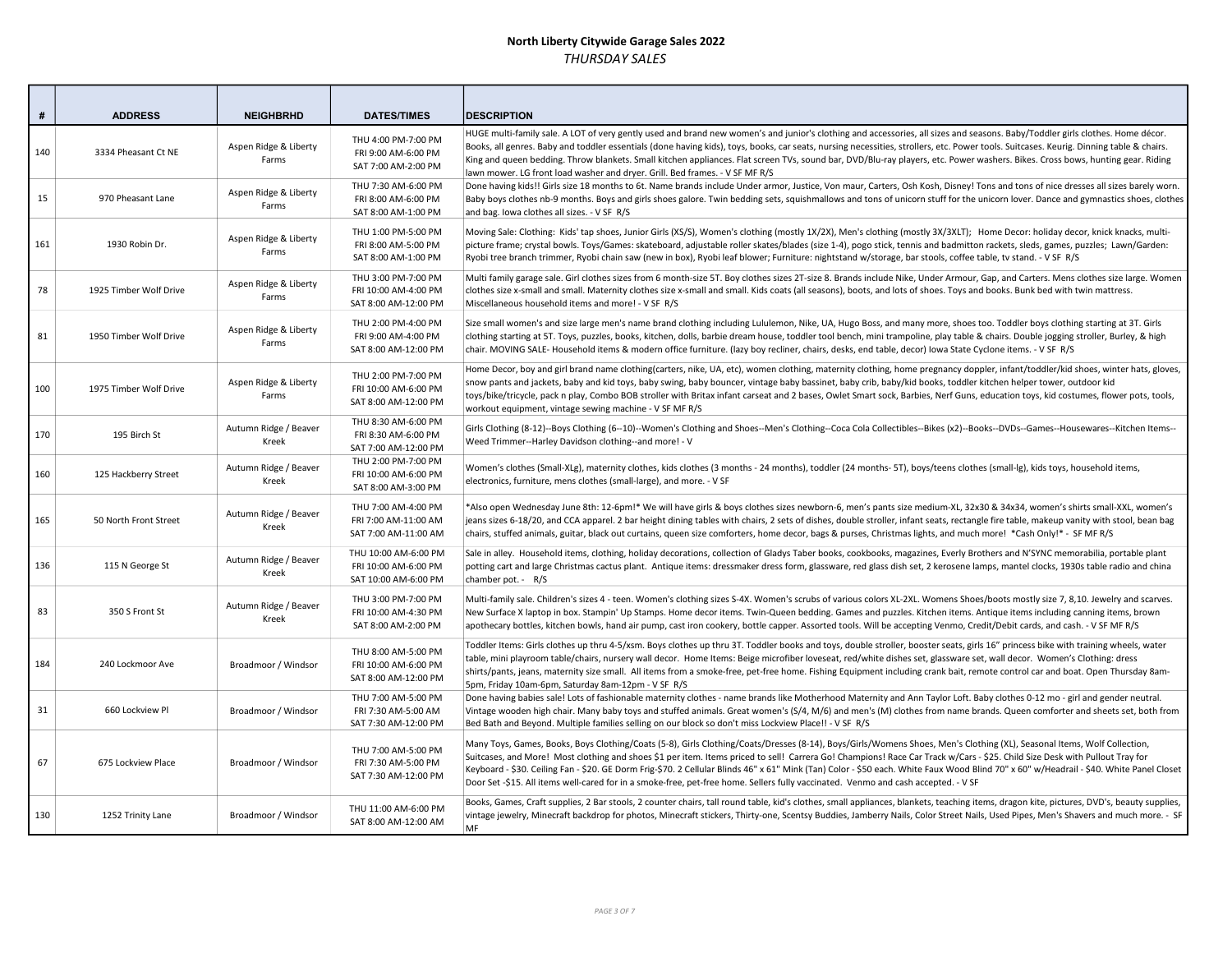| #   | <b>ADDRESS</b>         | <b>NEIGHBRHD</b>               | <b>DATES/TIMES</b>                                                   | <b>DESCRIPTION</b>                                                                                                                                                                                                                                                                                                                                                                                                                                                                                                                                                                                                                                                                      |
|-----|------------------------|--------------------------------|----------------------------------------------------------------------|-----------------------------------------------------------------------------------------------------------------------------------------------------------------------------------------------------------------------------------------------------------------------------------------------------------------------------------------------------------------------------------------------------------------------------------------------------------------------------------------------------------------------------------------------------------------------------------------------------------------------------------------------------------------------------------------|
| 140 | 3334 Pheasant Ct NE    | Aspen Ridge & Liberty<br>Farms | THU 4:00 PM-7:00 PM<br>FRI 9:00 AM-6:00 PM<br>SAT 7:00 AM-2:00 PM    | HUGE multi-family sale. A LOT of very gently used and brand new women's and junior's clothing and accessories, all sizes and seasons. Baby/Toddler girls clothes. Home décor.<br>Books, all genres. Baby and toddler essentials (done having kids), toys, books, car seats, nursing necessities, strollers, etc. Power tools. Suitcases. Keurig. Dinning table & chairs.<br>King and queen bedding. Throw blankets. Small kitchen appliances. Flat screen TVs, sound bar, DVD/Blu-ray players, etc. Power washers. Bikes. Cross bows, hunting gear. Riding<br>lawn mower. LG front load washer and dryer. Grill. Bed frames. - V SF MF R/S                                              |
| 15  | 970 Pheasant Lane      | Aspen Ridge & Liberty<br>Farms | THU 7:30 AM-6:00 PM<br>FRI 8:00 AM-6:00 PM<br>SAT 8:00 AM-1:00 PM    | Done having kids!! Girls size 18 months to 6t. Name brands include Under armor, Justice, Von maur, Carters, Osh Kosh, Disney! Tons and tons of nice dresses all sizes barely worn.<br>Baby boys clothes nb-9 months. Boys and girls shoes galore. Twin bedding sets, squishmallows and tons of unicorn stuff for the unicorn lover. Dance and gymnastics shoes, clothes<br>and bag. Iowa clothes all sizes. - V SF R/S                                                                                                                                                                                                                                                                  |
| 161 | 1930 Robin Dr.         | Aspen Ridge & Liberty<br>Farms | THU 1:00 PM-5:00 PM<br>FRI 8:00 AM-5:00 PM<br>SAT 8:00 AM-1:00 PM    | Moving Sale: Clothing: Kids' tap shoes, Junior Girls (XS/S), Women's clothing (mostly 1X/2X), Men's clothing (mostly 3X/3XLT); Home Decor: holiday decor, knick knacks, multi-<br>picture frame; crystal bowls. Toys/Games: skateboard, adjustable roller skates/blades (size 1-4), pogo stick, tennis and badmitton rackets, sleds, games, puzzles; Lawn/Garden:<br>Ryobi tree branch trimmer, Ryobi chain saw (new in box), Ryobi leaf blower; Furniture: nightstand w/storage, bar stools, coffee table, tv stand. - V SF R/S                                                                                                                                                        |
| 78  | 1925 Timber Wolf Drive | Aspen Ridge & Liberty<br>Farms | THU 3:00 PM-7:00 PM<br>FRI 10:00 AM-4:00 PM<br>SAT 8:00 AM-12:00 PM  | Multi family garage sale. Girl clothes sizes from 6 month-size 5T. Boy clothes sizes 2T-size 8. Brands include Nike, Under Armour, Gap, and Carters. Mens clothes size large. Women<br>clothes size x-small and small. Maternity clothes size x-small and small. Kids coats (all seasons), boots, and lots of shoes. Toys and books. Bunk bed with twin mattress.<br>Miscellaneous household items and more! - V SF R/S                                                                                                                                                                                                                                                                 |
| 81  | 1950 Timber Wolf Drive | Aspen Ridge & Liberty<br>Farms | THU 2:00 PM-4:00 PM<br>FRI 9:00 AM-4:00 PM<br>SAT 8:00 AM-12:00 PM   | Size small women's and size large men's name brand clothing including Lululemon, Nike, UA, Hugo Boss, and many more, shoes too. Toddler boys clothing starting at 3T. Girls<br>clothing starting at 5T. Toys, puzzles, books, kitchen, dolls, barbie dream house, toddler tool bench, mini trampoline, play table & chairs. Double jogging stroller, Burley, & high<br>chair. MOVING SALE-Household items & modern office furniture. (lazy boy recliner, chairs, desks, end table, decor) lowa State Cyclone items. - V SF R/S                                                                                                                                                          |
| 100 | 1975 Timber Wolf Drive | Aspen Ridge & Liberty<br>Farms | THU 2:00 PM-7:00 PM<br>FRI 10:00 AM-6:00 PM<br>SAT 8:00 AM-12:00 PM  | Home Decor, boy and girl brand name clothing(carters, nike, UA, etc), women clothing, maternity clothing, home pregnancy doppler, infant/toddler/kid shoes, winter hats, gloves,<br>snow pants and jackets, baby and kid toys, baby swing, baby bouncer, vintage baby bassinet, baby crib, baby/kid books, toddler kitchen helper tower, outdoor kid<br>toys/bike/tricycle, pack n play, Combo BOB stroller with Britax infant carseat and 2 bases, Owlet Smart sock, Barbies, Nerf Guns, education toys, kid costumes, flower pots, tools,<br>workout equipment, vintage sewing machine - V SF MF R/S                                                                                  |
| 170 | 195 Birch St           | Autumn Ridge / Beaver<br>Kreek | THU 8:30 AM-6:00 PM<br>FRI 8:30 AM-6:00 PM<br>SAT 7:00 AM-12:00 PM   | Girls Clothing (8-12)--Boys Clothing (6--10)--Women's Clothing and Shoes--Men's Clothing--Coca Cola Collectibles--Bikes (x2)--Books--DVDs--Games--Housewares--Kitchen Items--<br>Weed Trimmer--Harley Davidson clothing--and more! - V                                                                                                                                                                                                                                                                                                                                                                                                                                                  |
| 160 | 125 Hackberry Street   | Autumn Ridge / Beaver<br>Kreek | THU 2:00 PM-7:00 PM<br>FRI 10:00 AM-6:00 PM<br>SAT 8:00 AM-3:00 PM   | Women's clothes (Small-XLg), maternity clothes, kids clothes (3 months - 24 months), toddler (24 months- 5T), boys/teens clothes (small-lg), kids toys, household items,<br>electronics, furniture, mens clothes (small-large), and more. - V SF                                                                                                                                                                                                                                                                                                                                                                                                                                        |
| 165 | 50 North Front Street  | Autumn Ridge / Beaver<br>Kreek | THU 7:00 AM-4:00 PM<br>FRI 7:00 AM-11:00 AM<br>SAT 7:00 AM-11:00 AM  | *Also open Wednesday June 8th: 12-6pm!* We will have girls & boys clothes sizes newborn-6, men's pants size medium-XL, 32x30 & 34x34, women's shirts small-XXL, women's<br>jeans sizes 6-18/20, and CCA apparel. 2 bar height dining tables with chairs, 2 sets of dishes, double stroller, infant seats, rectangle fire table, makeup vanity with stool, bean bag<br>chairs, stuffed animals, guitar, black out curtains, queen size comforters, home decor, bags & purses, Christmas lights, and much more! *Cash Only!* - SF MF R/S                                                                                                                                                  |
| 136 | 115 N George St        | Autumn Ridge / Beaver<br>Kreek | THU 10:00 AM-6:00 PM<br>FRI 10:00 AM-6:00 PM<br>SAT 10:00 AM-6:00 PM | Sale in alley. Household items, clothing, holiday decorations, collection of Gladys Taber books, cookbooks, magazines, Everly Brothers and N'SYNC memorabilia, portable plant<br>potting cart and large Christmas cactus plant. Antique items: dressmaker dress form, glassware, red glass dish set, 2 kerosene lamps, mantel clocks, 1930s table radio and china<br>chamber pot. - R/S                                                                                                                                                                                                                                                                                                 |
| 83  | 350 S Front St         | Autumn Ridge / Beaver<br>Kreek | THU 3:00 PM-7:00 PM<br>FRI 10:00 AM-4:30 PM<br>SAT 8:00 AM-2:00 PM   | Multi-family sale. Children's sizes 4 - teen. Women's clothing sizes S-4X. Women's scrubs of various colors XL-2XL. Womens Shoes/boots mostly size 7, 8,10. Jewelry and scarves.<br>New Surface X laptop in box. Stampin' Up Stamps. Home decor items. Twin-Queen bedding. Games and puzzles. Kitchen items. Antique items including canning items, brown<br>apothecary bottles, kitchen bowls, hand air pump, cast iron cookery, bottle capper. Assorted tools. Will be accepting Venmo, Credit/Debit cards, and cash. - V SF MF R/S                                                                                                                                                   |
| 184 | 240 Lockmoor Ave       | Broadmoor / Windsor            | THU 8:00 AM-5:00 PM<br>FRI 10:00 AM-6:00 PM<br>SAT 8:00 AM-12:00 PM  | Toddler Items: Girls clothes up thru 4-5/xsm. Boys clothes up thru 3T. Toddler books and toys, double stroller, booster seats, girls 16" princess bike with training wheels, water<br>table, mini playroom table/chairs, nursery wall decor. Home Items: Beige microfiber loveseat, red/white dishes set, glassware set, wall decor. Women's Clothing: dress<br>shirts/pants, jeans, maternity size small. All items from a smoke-free, pet-free home. Fishing Equipment including crank bait, remote control car and boat. Open Thursday 8am-<br>5pm, Friday 10am-6pm, Saturday 8am-12pm - V SF R/S                                                                                    |
| 31  | 660 Lockview Pl        | Broadmoor / Windsor            | THU 7:00 AM-5:00 PM<br>FRI 7:30 AM-5:00 AM<br>SAT 7:30 AM-12:00 PM   | Done having babies sale! Lots of fashionable maternity clothes - name brands like Motherhood Maternity and Ann Taylor Loft. Baby clothes 0-12 mo - girl and gender neutral.<br>Vintage wooden high chair. Many baby toys and stuffed animals. Great women's (S/4, M/6) and men's (M) clothes from name brands. Queen comforter and sheets set, both from<br>Bed Bath and Beyond. Multiple families selling on our block so don't miss Lockview Place!! - V SF R/S                                                                                                                                                                                                                       |
| 67  | 675 Lockview Place     | Broadmoor / Windsor            | THU 7:00 AM-5:00 PM<br>FRI 7:30 AM-5:00 PM<br>SAT 7:30 AM-12:00 PM   | Many Toys, Games, Books, Boys Clothing/Coats (5-8), Girls Clothing/Coats/Dresses (8-14), Boys/Girls/Womens Shoes, Men's Clothing (XL), Seasonal Items, Wolf Collection,<br>Suitcases, and More! Most clothing and shoes \$1 per item. Items priced to sell! Carrera Go! Champions! Race Car Track w/Cars - \$25. Child Size Desk with Pullout Tray for<br>Keyboard - \$30. Ceiling Fan - \$20. GE Dorm Frig-\$70. 2 Cellular Blinds 46" x 61" Mink (Tan) Color - \$50 each. White Faux Wood Blind 70" x 60" w/Headrail - \$40. White Panel Closet<br>Door Set -\$15. All items well-cared for in a smoke-free, pet-free home. Sellers fully vaccinated. Venmo and cash accepted. - V SF |
| 130 | 1252 Trinity Lane      | Broadmoor / Windsor            | THU 11:00 AM-6:00 PM<br>SAT 8:00 AM-12:00 AM                         | Books, Games, Craft supplies, 2 Bar stools, 2 counter chairs, tall round table, kid's clothes, small appliances, blankets, teaching items, dragon kite, pictures, DVD's, beauty supplies,<br>vintage jewelry, Minecraft backdrop for photos, Minecraft stickers, Thirty-one, Scentsy Buddies, Jamberry Nails, Color Street Nails, Used Pipes, Men's Shavers and much more. - SF<br>MF                                                                                                                                                                                                                                                                                                   |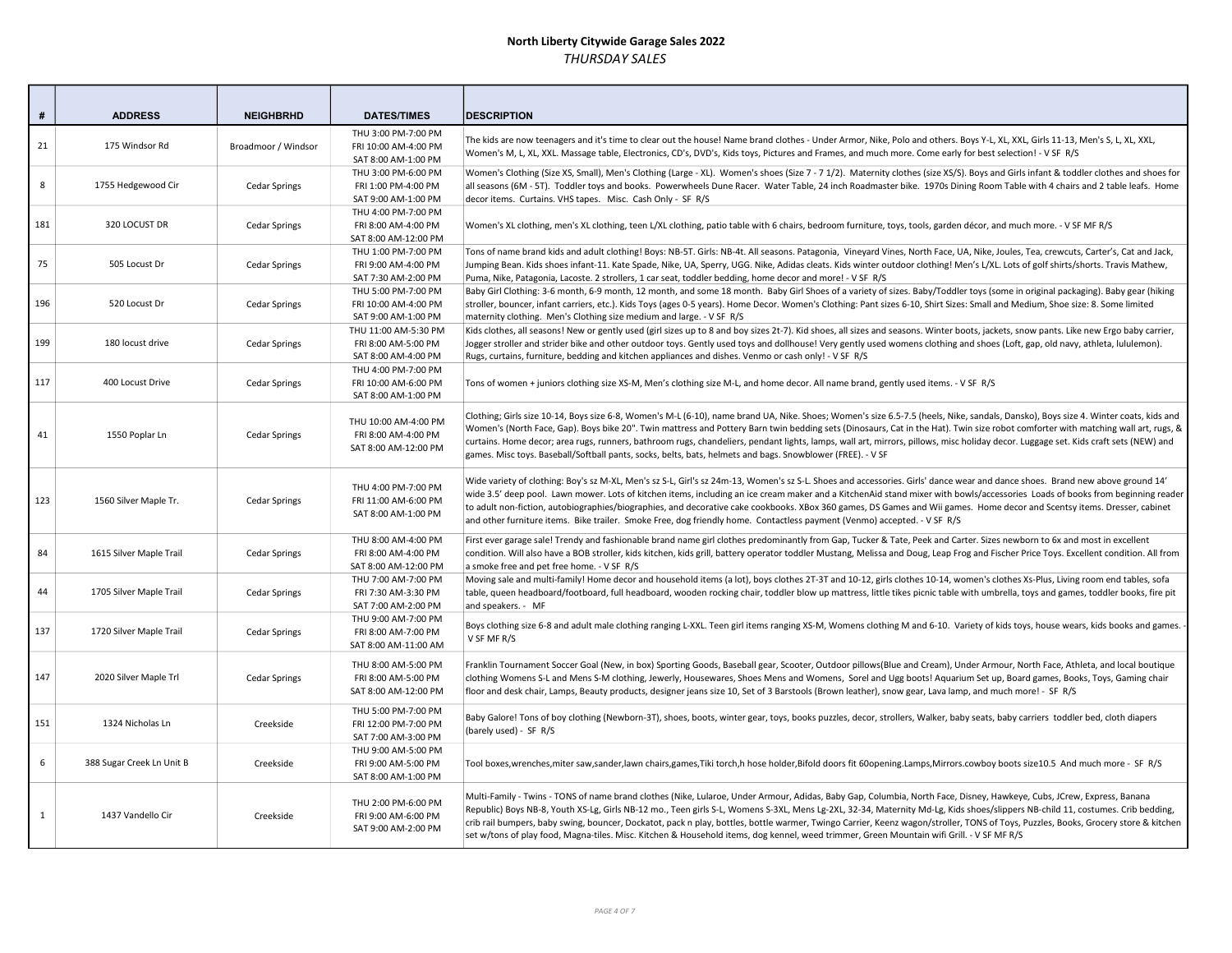| #            | <b>ADDRESS</b>            | <b>NEIGHBRHD</b>     | <b>DATES/TIMES</b>                                                  | <b>DESCRIPTION</b>                                                                                                                                                                                                                                                                                                                                                                                                                                                                                                                                                                                                                                                                         |
|--------------|---------------------------|----------------------|---------------------------------------------------------------------|--------------------------------------------------------------------------------------------------------------------------------------------------------------------------------------------------------------------------------------------------------------------------------------------------------------------------------------------------------------------------------------------------------------------------------------------------------------------------------------------------------------------------------------------------------------------------------------------------------------------------------------------------------------------------------------------|
|              |                           |                      |                                                                     |                                                                                                                                                                                                                                                                                                                                                                                                                                                                                                                                                                                                                                                                                            |
| 21           | 175 Windsor Rd            | Broadmoor / Windsor  | THU 3:00 PM-7:00 PM<br>FRI 10:00 AM-4:00 PM<br>SAT 8:00 AM-1:00 PM  | The kids are now teenagers and it's time to clear out the house! Name brand clothes - Under Armor, Nike, Polo and others. Boys Y-L, XL, XXL, Girls 11-13, Men's S, L, XL, XXL,<br>Women's M, L, XL, XXL. Massage table, Electronics, CD's, DVD's, Kids toys, Pictures and Frames, and much more. Come early for best selection! - V SF R/S                                                                                                                                                                                                                                                                                                                                                 |
| 8            | 1755 Hedgewood Cir        | <b>Cedar Springs</b> | THU 3:00 PM-6:00 PM<br>FRI 1:00 PM-4:00 PM<br>SAT 9:00 AM-1:00 PM   | Women's Clothing (Size XS, Small), Men's Clothing (Large - XL). Women's shoes (Size 7 - 71/2). Maternity clothes (size XS/S). Boys and Girls infant & toddler clothes and shoes for<br>all seasons (6M - 5T). Toddler toys and books. Powerwheels Dune Racer. Water Table, 24 inch Roadmaster bike. 1970s Dining Room Table with 4 chairs and 2 table leafs. Home<br>decor items. Curtains. VHS tapes. Misc. Cash Only - SF R/S                                                                                                                                                                                                                                                            |
| 181          | 320 LOCUST DR             | <b>Cedar Springs</b> | THU 4:00 PM-7:00 PM<br>FRI 8:00 AM-4:00 PM<br>SAT 8:00 AM-12:00 PM  | Women's XL clothing, men's XL clothing, teen L/XL clothing, patio table with 6 chairs, bedroom furniture, toys, tools, garden décor, and much more. - V SF MF R/S                                                                                                                                                                                                                                                                                                                                                                                                                                                                                                                          |
| 75           | 505 Locust Dr             | <b>Cedar Springs</b> | THU 1:00 PM-7:00 PM<br>FRI 9:00 AM-4:00 PM<br>SAT 7:30 AM-2:00 PM   | Tons of name brand kids and adult clothing! Boys: NB-5T. Girls: NB-4t. All seasons. Patagonia, Vineyard Vines, North Face, UA, Nike, Joules, Tea, crewcuts, Carter's, Cat and Jack,<br>Jumping Bean. Kids shoes infant-11. Kate Spade, Nike, UA, Sperry, UGG. Nike, Adidas cleats. Kids winter outdoor clothing! Men's L/XL. Lots of golf shirts/shorts. Travis Mathew,<br>Puma, Nike, Patagonia, Lacoste. 2 strollers, 1 car seat, toddler bedding, home decor and more! - V SF R/S                                                                                                                                                                                                       |
| 196          | 520 Locust Dr             | <b>Cedar Springs</b> | THU 5:00 PM-7:00 PM<br>FRI 10:00 AM-4:00 PM<br>SAT 9:00 AM-1:00 PM  | Baby Girl Clothing: 3-6 month, 6-9 month, 12 month, and some 18 month. Baby Girl Shoes of a variety of sizes. Baby/Toddler toys (some in original packaging). Baby gear (hiking<br>stroller, bouncer, infant carriers, etc.). Kids Toys (ages 0-5 years). Home Decor. Women's Clothing: Pant sizes 6-10, Shirt Sizes: Small and Medium, Shoe size: 8. Some limited<br>maternity clothing. Men's Clothing size medium and large. - V SF R/S                                                                                                                                                                                                                                                 |
| 199          | 180 locust drive          | <b>Cedar Springs</b> | THU 11:00 AM-5:30 PM<br>FRI 8:00 AM-5:00 PM<br>SAT 8:00 AM-4:00 PM  | Kids clothes, all seasons! New or gently used (girl sizes up to 8 and boy sizes 2t-7). Kid shoes, all sizes and seasons. Winter boots, jackets, snow pants. Like new Ergo baby carrier,<br>Jogger stroller and strider bike and other outdoor toys. Gently used toys and dollhouse! Very gently used womens clothing and shoes (Loft, gap, old navy, athleta, lululemon).<br>Rugs, curtains, furniture, bedding and kitchen appliances and dishes. Venmo or cash only! - V SF R/S                                                                                                                                                                                                          |
| 117          | 400 Locust Drive          | <b>Cedar Springs</b> | THU 4:00 PM-7:00 PM<br>FRI 10:00 AM-6:00 PM<br>SAT 8:00 AM-1:00 PM  | Tons of women + juniors clothing size XS-M, Men's clothing size M-L, and home decor. All name brand, gently used items. - V SF R/S                                                                                                                                                                                                                                                                                                                                                                                                                                                                                                                                                         |
| 41           | 1550 Poplar Ln            | <b>Cedar Springs</b> | THU 10:00 AM-4:00 PM<br>FRI 8:00 AM-4:00 PM<br>SAT 8:00 AM-12:00 PM | Clothing; Girls size 10-14, Boys size 6-8, Women's M-L (6-10), name brand UA, Nike. Shoes; Women's size 6.5-7.5 (heels, Nike, sandals, Dansko), Boys size 4. Winter coats, kids and<br>Women's (North Face, Gap). Boys bike 20". Twin mattress and Pottery Barn twin bedding sets (Dinosaurs, Cat in the Hat). Twin size robot comforter with matching wall art, rugs, &<br>curtains. Home decor; area rugs, runners, bathroom rugs, chandeliers, pendant lights, lamps, wall art, mirrors, pillows, misc holiday decor. Luggage set. Kids craft sets (NEW) and<br>games. Misc toys. Baseball/Softball pants, socks, belts, bats, helmets and bags. Snowblower (FREE). - V SF              |
| 123          | 1560 Silver Maple Tr.     | Cedar Springs        | THU 4:00 PM-7:00 PM<br>FRI 11:00 AM-6:00 PM<br>SAT 8:00 AM-1:00 PM  | Wide variety of clothing: Boy's sz M-XL, Men's sz S-L, Girl's sz 24m-13, Women's sz S-L. Shoes and accessories. Girls' dance wear and dance shoes. Brand new above ground 14'<br>wide 3.5' deep pool. Lawn mower. Lots of kitchen items, including an ice cream maker and a KitchenAid stand mixer with bowls/accessories Loads of books from beginning reader<br>to adult non-fiction, autobiographies/biographies, and decorative cake cookbooks. XBox 360 games, DS Games and Wii games. Home decor and Scentsy items. Dresser, cabinet<br>and other furniture items. Bike trailer. Smoke Free, dog friendly home. Contactless payment (Venmo) accepted. - V SF R/S                     |
| 84           | 1615 Silver Maple Trail   | <b>Cedar Springs</b> | THU 8:00 AM-4:00 PM<br>FRI 8:00 AM-4:00 PM<br>SAT 8:00 AM-12:00 PM  | First ever garage sale! Trendy and fashionable brand name girl clothes predominantly from Gap, Tucker & Tate, Peek and Carter. Sizes newborn to 6x and most in excellent<br>condition. Will also have a BOB stroller, kids kitchen, kids grill, battery operator toddler Mustang, Melissa and Doug, Leap Frog and Fischer Price Toys. Excellent condition. All from<br>a smoke free and pet free home. - V SF R/S                                                                                                                                                                                                                                                                          |
| 44           | 1705 Silver Maple Trail   | Cedar Springs        | THU 7:00 AM-7:00 PM<br>FRI 7:30 AM-3:30 PM<br>SAT 7:00 AM-2:00 PM   | Moving sale and multi-family! Home decor and household items (a lot), boys clothes 2T-3T and 10-12, girls clothes 10-14, women's clothes Xs-Plus, Living room end tables, sofa<br>table, queen headboard/footboard, full headboard, wooden rocking chair, toddler blow up mattress, little tikes picnic table with umbrella, toys and games, toddler books, fire pit<br>and speakers. - MF                                                                                                                                                                                                                                                                                                 |
| 137          | 1720 Silver Maple Trail   | <b>Cedar Springs</b> | THU 9:00 AM-7:00 PM<br>FRI 8:00 AM-7:00 PM<br>SAT 8:00 AM-11:00 AM  | Boys clothing size 6-8 and adult male clothing ranging L-XXL. Teen girl items ranging XS-M, Womens clothing M and 6-10. Variety of kids toys, house wears, kids books and games.<br>V SF MF R/S                                                                                                                                                                                                                                                                                                                                                                                                                                                                                            |
| 147          | 2020 Silver Maple Trl     | Cedar Springs        | THU 8:00 AM-5:00 PM<br>FRI 8:00 AM-5:00 PM<br>SAT 8:00 AM-12:00 PM  | Franklin Tournament Soccer Goal (New, in box) Sporting Goods, Baseball gear, Scooter, Outdoor pillows(Blue and Cream), Under Armour, North Face, Athleta, and local boutique<br>clothing Womens S-L and Mens S-M clothing, Jewerly, Housewares, Shoes Mens and Womens, Sorel and Ugg boots! Aquarium Set up, Board games, Books, Toys, Gaming chair<br>floor and desk chair, Lamps, Beauty products, designer jeans size 10, Set of 3 Barstools (Brown leather), snow gear, Lava lamp, and much more! - SF R/S                                                                                                                                                                             |
| 151          | 1324 Nicholas Ln          | Creekside            | THU 5:00 PM-7:00 PM<br>FRI 12:00 PM-7:00 PM<br>SAT 7:00 AM-3:00 PM  | Baby Galore! Tons of boy clothing (Newborn-3T), shoes, boots, winter gear, toys, books puzzles, decor, strollers, Walker, baby seats, baby carriers toddler bed, cloth diapers<br>(barely used) - SF R/S                                                                                                                                                                                                                                                                                                                                                                                                                                                                                   |
| 6            | 388 Sugar Creek Ln Unit B | Creekside            | THU 9:00 AM-5:00 PM<br>FRI 9:00 AM-5:00 PM<br>SAT 8:00 AM-1:00 PM   | Tool boxes,wrenches,miter saw,sander,lawn chairs,games,Tiki torch,h hose holder,Bifold doors fit 60opening.Lamps,Mirrors.cowboy boots size10.5 And much more - SF R/S                                                                                                                                                                                                                                                                                                                                                                                                                                                                                                                      |
| $\mathbf{1}$ | 1437 Vandello Cir         | Creekside            | THU 2:00 PM-6:00 PM<br>FRI 9:00 AM-6:00 PM<br>SAT 9:00 AM-2:00 PM   | Multi-Family - Twins - TONS of name brand clothes (Nike, Lularoe, Under Armour, Adidas, Baby Gap, Columbia, North Face, Disney, Hawkeye, Cubs, JCrew, Express, Banana<br>Republic) Boys NB-8, Youth XS-Lg, Girls NB-12 mo., Teen girls S-L, Womens S-3XL, Mens Lg-2XL, 32-34, Maternity Md-Lg, Kids shoes/slippers NB-child 11, costumes. Crib bedding,<br>crib rail bumpers, baby swing, bouncer, Dockatot, pack n play, bottles, bottle warmer, Twingo Carrier, Keenz wagon/stroller, TONS of Toys, Puzzles, Books, Grocery store & kitchen<br>set w/tons of play food, Magna-tiles. Misc. Kitchen & Household items, dog kennel, weed trimmer, Green Mountain wifi Grill. - V SF MF R/S |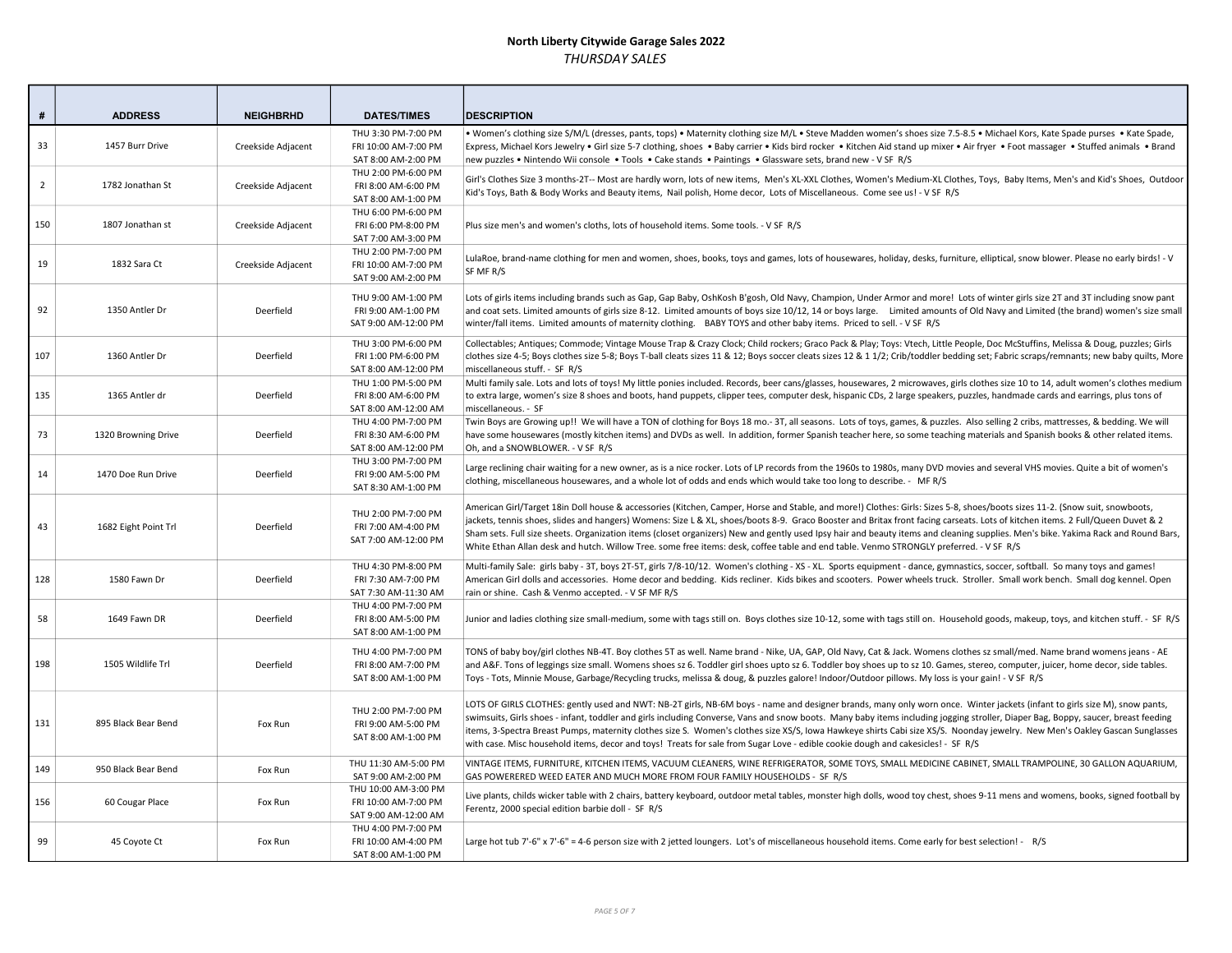| #              | <b>ADDRESS</b>       | <b>NEIGHBRHD</b>   | <b>DATES/TIMES</b>                                                   | <b>IDESCRIPTION</b>                                                                                                                                                                                                                                                                                                                                                                                                                                                                                                                                                                                                                                                                          |
|----------------|----------------------|--------------------|----------------------------------------------------------------------|----------------------------------------------------------------------------------------------------------------------------------------------------------------------------------------------------------------------------------------------------------------------------------------------------------------------------------------------------------------------------------------------------------------------------------------------------------------------------------------------------------------------------------------------------------------------------------------------------------------------------------------------------------------------------------------------|
| 33             | 1457 Burr Drive      | Creekside Adjacent | THU 3:30 PM-7:00 PM<br>FRI 10:00 AM-7:00 PM<br>SAT 8:00 AM-2:00 PM   | . Women's clothing size S/M/L (dresses, pants, tops) . Maternity clothing size M/L . Steve Madden women's shoes size 7.5-8.5 . Michael Kors, Kate Spade purses . Kate Spade,<br>Express, Michael Kors Jewelry • Girl size 5-7 clothing, shoes • Baby carrier • Kids bird rocker • Kitchen Aid stand up mixer • Air fryer • Foot massager • Stuffed animals • Brand<br>new puzzles • Nintendo Wii console • Tools • Cake stands • Paintings • Glassware sets, brand new - V SF R/S                                                                                                                                                                                                            |
| $\overline{2}$ | 1782 Jonathan St     | Creekside Adjacent | THU 2:00 PM-6:00 PM<br>FRI 8:00 AM-6:00 PM<br>SAT 8:00 AM-1:00 PM    | Girl's Clothes Size 3 months-2T-- Most are hardly worn, lots of new items, Men's XL-XXL Clothes, Women's Medium-XL Clothes, Toys, Baby Items, Men's and Kid's Shoes, Outdoor<br>Kid's Toys, Bath & Body Works and Beauty items, Nail polish, Home decor, Lots of Miscellaneous. Come see us! - V SF R/S                                                                                                                                                                                                                                                                                                                                                                                      |
| 150            | 1807 Jonathan st     | Creekside Adjacent | THU 6:00 PM-6:00 PM<br>FRI 6:00 PM-8:00 PM<br>SAT 7:00 AM-3:00 PM    | Plus size men's and women's cloths, lots of household items. Some tools. - V SF R/S                                                                                                                                                                                                                                                                                                                                                                                                                                                                                                                                                                                                          |
| 19             | 1832 Sara Ct         | Creekside Adjacent | THU 2:00 PM-7:00 PM<br>FRI 10:00 AM-7:00 PM<br>SAT 9:00 AM-2:00 PM   | LulaRoe, brand-name clothing for men and women, shoes, books, toys and games, lots of housewares, holiday, desks, furniture, elliptical, snow blower. Please no early birds! - V<br>SF MF R/S                                                                                                                                                                                                                                                                                                                                                                                                                                                                                                |
| 92             | 1350 Antler Dr       | Deerfield          | THU 9:00 AM-1:00 PM<br>FRI 9:00 AM-1:00 PM<br>SAT 9:00 AM-12:00 PM   | Lots of girls items including brands such as Gap, Gap Baby, OshKosh B'gosh, Old Navy, Champion, Under Armor and more! Lots of winter girls size 2T and 3T including snow pant<br>and coat sets. Limited amounts of girls size 8-12. Limited amounts of boys size 10/12, 14 or boys large. Limited amounts of Old Navy and Limited (the brand) women's size small<br>winter/fall items. Limited amounts of maternity clothing. BABY TOYS and other baby items. Priced to sell. - V SF R/S                                                                                                                                                                                                     |
| 107            | 1360 Antler Dr       | Deerfield          | THU 3:00 PM-6:00 PM<br>FRI 1:00 PM-6:00 PM<br>SAT 8:00 AM-12:00 PM   | Collectables; Antiques; Commode; Vintage Mouse Trap & Crazy Clock; Child rockers; Graco Pack & Play; Toys: Vtech, Little People, Doc McStuffins, Melissa & Doug, puzzles; Girls<br>clothes size 4-5; Boys clothes size 5-8; Boys T-ball cleats sizes 11 & 12; Boys soccer cleats sizes 12 & 11/2; Crib/toddler bedding set; Fabric scraps/remnants; new baby quilts, More<br>miscellaneous stuff. - SF R/S                                                                                                                                                                                                                                                                                   |
| 135            | 1365 Antler dr       | Deerfield          | THU 1:00 PM-5:00 PM<br>FRI 8:00 AM-6:00 PM<br>SAT 8:00 AM-12:00 AM   | Multi family sale. Lots and lots of toys! My little ponies included. Records, beer cans/glasses, housewares, 2 microwaves, girls clothes size 10 to 14, adult women's clothes medium<br>to extra large, women's size 8 shoes and boots, hand puppets, clipper tees, computer desk, hispanic CDs, 2 large speakers, puzzles, handmade cards and earrings, plus tons of<br>miscellaneous. - SF                                                                                                                                                                                                                                                                                                 |
| 73             | 1320 Browning Drive  | Deerfield          | THU 4:00 PM-7:00 PM<br>FRI 8:30 AM-6:00 PM<br>SAT 8:00 AM-12:00 PM   | Twin Boys are Growing up!! We will have a TON of clothing for Boys 18 mo.- 3T, all seasons. Lots of toys, games, & puzzles. Also selling 2 cribs, mattresses, & bedding. We will<br>have some housewares (mostly kitchen items) and DVDs as well. In addition, former Spanish teacher here, so some teaching materials and Spanish books & other related items.<br>Oh, and a SNOWBLOWER. - V SF R/S                                                                                                                                                                                                                                                                                          |
| 14             | 1470 Doe Run Drive   | Deerfield          | THU 3:00 PM-7:00 PM<br>FRI 9:00 AM-5:00 PM<br>SAT 8:30 AM-1:00 PM    | Large reclining chair waiting for a new owner, as is a nice rocker. Lots of LP records from the 1960s to 1980s, many DVD movies and several VHS movies. Quite a bit of women's<br>clothing, miscellaneous housewares, and a whole lot of odds and ends which would take too long to describe. - MFR/S                                                                                                                                                                                                                                                                                                                                                                                        |
| 43             | 1682 Eight Point Trl | Deerfield          | THU 2:00 PM-7:00 PM<br>FRI 7:00 AM-4:00 PM<br>SAT 7:00 AM-12:00 PM   | American Girl/Target 18in Doll house & accessories (Kitchen, Camper, Horse and Stable, and more!) Clothes: Girls: Sizes 5-8, shoes/boots sizes 11-2. (Snow suit, snowboots,<br>jackets, tennis shoes, slides and hangers) Womens: Size L & XL, shoes/boots 8-9. Graco Booster and Britax front facing carseats. Lots of kitchen items. 2 Full/Queen Duvet & 2<br>Sham sets. Full size sheets. Organization items (closet organizers) New and gently used Ipsy hair and beauty items and cleaning supplies. Men's bike. Yakima Rack and Round Bars,<br>White Ethan Allan desk and hutch. Willow Tree. some free items: desk, coffee table and end table. Venmo STRONGLY preferred. - V SF R/S |
| 128            | 1580 Fawn Dr         | Deerfield          | THU 4:30 PM-8:00 PM<br>FRI 7:30 AM-7:00 PM<br>SAT 7:30 AM-11:30 AM   | Multi-family Sale: girls baby - 3T, boys 2T-5T, girls 7/8-10/12. Women's clothing - XS - XL. Sports equipment - dance, gymnastics, soccer, softball. So many toys and games!<br>American Girl dolls and accessories. Home decor and bedding. Kids recliner. Kids bikes and scooters. Power wheels truck. Stroller. Small work bench. Small dog kennel. Open<br>rain or shine. Cash & Venmo accepted. - V SF MF R/S                                                                                                                                                                                                                                                                           |
| 58             | 1649 Fawn DR         | Deerfield          | THU 4:00 PM-7:00 PM<br>FRI 8:00 AM-5:00 PM<br>SAT 8:00 AM-1:00 PM    | Junior and ladies clothing size small-medium, some with tags still on. Boys clothes size 10-12, some with tags still on. Household goods, makeup, toys, and kitchen stuff. - SF R/S                                                                                                                                                                                                                                                                                                                                                                                                                                                                                                          |
| 198            | 1505 Wildlife Trl    | Deerfield          | THU 4:00 PM-7:00 PM<br>FRI 8:00 AM-7:00 PM<br>SAT 8:00 AM-1:00 PM    | TONS of baby boy/girl clothes NB-4T. Boy clothes 5T as well. Name brand - Nike, UA, GAP, Old Navy, Cat & Jack. Womens clothes sz small/med. Name brand womens jeans - AE<br>and A&F. Tons of leggings size small. Womens shoes sz 6. Toddler girl shoes upto sz 6. Toddler boy shoes up to sz 10. Games, stereo, computer, juicer, home decor, side tables.<br>Toys - Tots, Minnie Mouse, Garbage/Recycling trucks, melissa & doug, & puzzles galore! Indoor/Outdoor pillows. My loss is your gain! - V SF R/S                                                                                                                                                                               |
| 131            | 895 Black Bear Bend  | Fox Run            | THU 2:00 PM-7:00 PM<br>FRI 9:00 AM-5:00 PM<br>SAT 8:00 AM-1:00 PM    | LOTS OF GIRLS CLOTHES: gently used and NWT: NB-2T girls, NB-6M boys - name and designer brands, many only worn once. Winter jackets (infant to girls size M), snow pants,<br>swimsuits, Girls shoes - infant, toddler and girls including Converse, Vans and snow boots. Many baby items including jogging stroller, Diaper Bag, Boppy, saucer, breast feeding<br>items, 3-Spectra Breast Pumps, maternity clothes size S. Women's clothes size XS/S, Iowa Hawkeye shirts Cabi size XS/S. Noonday jewelry. New Men's Oakley Gascan Sunglasses<br>with case. Misc household items, decor and toys! Treats for sale from Sugar Love - edible cookie dough and cakesicles! - SF R/S             |
| 149            | 950 Black Bear Bend  | Fox Run            | THU 11:30 AM-5:00 PM<br>SAT 9:00 AM-2:00 PM                          | VINTAGE ITEMS, FURNITURE, KITCHEN ITEMS, VACUUM CLEANERS, WINE REFRIGERATOR, SOME TOYS, SMALL MEDICINE CABINET, SMALL TRAMPOLINE, 30 GALLON AQUARIUM,<br>GAS POWERERED WEED EATER AND MUCH MORE FROM FOUR FAMILY HOUSEHOLDS - SF R/S                                                                                                                                                                                                                                                                                                                                                                                                                                                         |
| 156            | 60 Cougar Place      | Fox Run            | THU 10:00 AM-3:00 PM<br>FRI 10:00 AM-7:00 PM<br>SAT 9:00 AM-12:00 AM | Live plants, childs wicker table with 2 chairs, battery keyboard, outdoor metal tables, monster high dolls, wood toy chest, shoes 9-11 mens and womens, books, signed football by<br>Ferentz, 2000 special edition barbie doll - SF R/S                                                                                                                                                                                                                                                                                                                                                                                                                                                      |
| 99             | 45 Coyote Ct         | Fox Run            | THU 4:00 PM-7:00 PM<br>FRI 10:00 AM-4:00 PM<br>SAT 8:00 AM-1:00 PM   | Large hot tub 7'-6" x 7'-6" = 4-6 person size with 2 jetted loungers. Lot's of miscellaneous household items. Come early for best selection! - R/S                                                                                                                                                                                                                                                                                                                                                                                                                                                                                                                                           |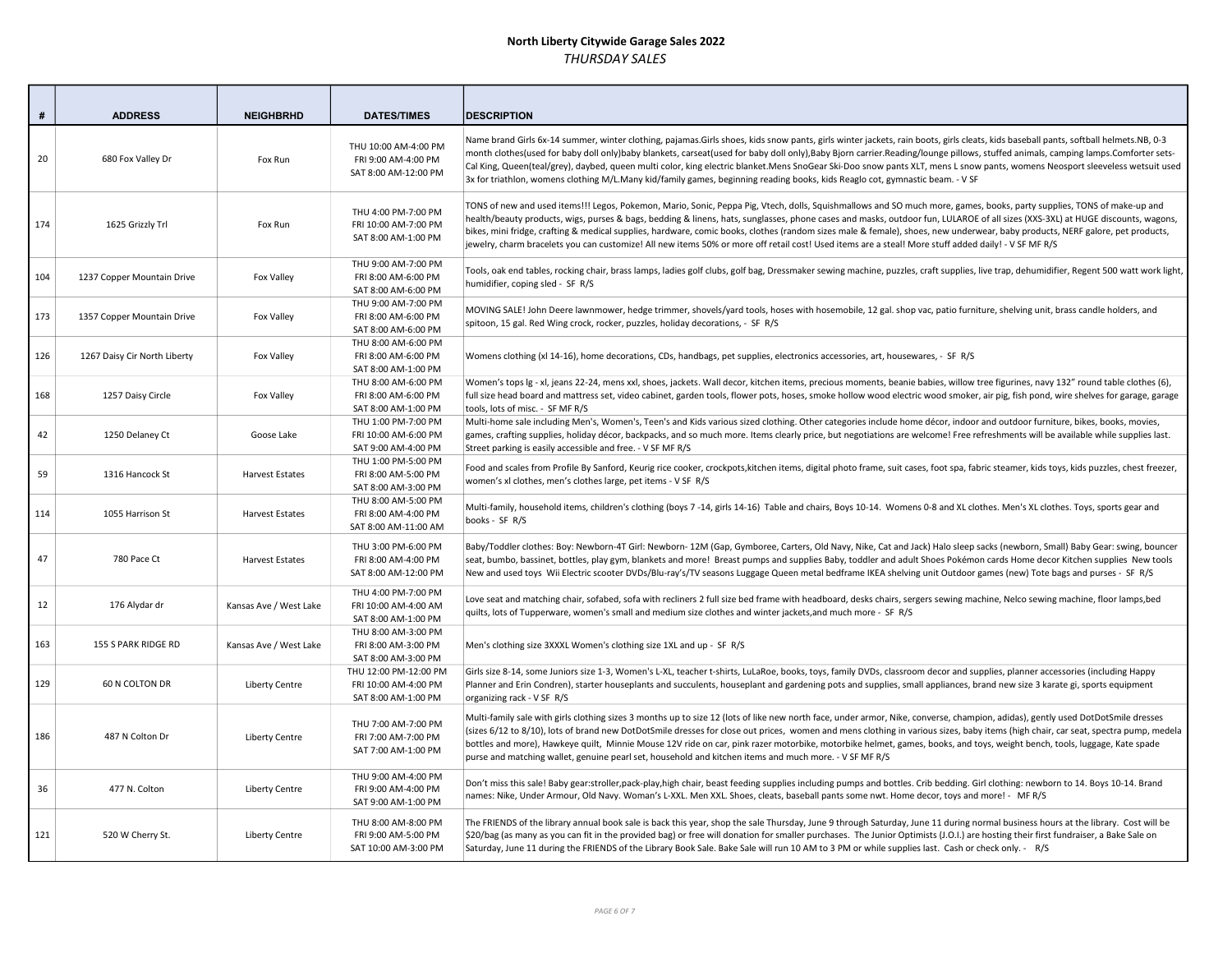| #   | <b>ADDRESS</b>               | <b>NEIGHBRHD</b>       | <b>DATES/TIMES</b>                                                   | <b>DESCRIPTION</b>                                                                                                                                                                                                                                                                                                                                                                                                                                                                                                                                                                                                                                                                                |
|-----|------------------------------|------------------------|----------------------------------------------------------------------|---------------------------------------------------------------------------------------------------------------------------------------------------------------------------------------------------------------------------------------------------------------------------------------------------------------------------------------------------------------------------------------------------------------------------------------------------------------------------------------------------------------------------------------------------------------------------------------------------------------------------------------------------------------------------------------------------|
| 20  | 680 Fox Valley Dr            | Fox Run                | THU 10:00 AM-4:00 PM<br>FRI 9:00 AM-4:00 PM<br>SAT 8:00 AM-12:00 PM  | Name brand Girls 6x-14 summer, winter clothing, pajamas.Girls shoes, kids snow pants, girls winter jackets, rain boots, girls cleats, kids baseball pants, softball helmets.NB, 0-3<br>month clothes(used for baby doll only)baby blankets, carseat(used for baby doll only),Baby Bjorn carrier.Reading/lounge pillows, stuffed animals, camping lamps.Comforter sets-<br>Cal King, Queen(teal/grey), daybed, queen multi color, king electric blanket.Mens SnoGear Ski-Doo snow pants XLT, mens L snow pants, womens Neosport sleeveless wetsuit used<br>3x for triathlon, womens clothing M/L.Many kid/family games, beginning reading books, kids Reaglo cot, gymnastic beam. - V SF           |
| 174 | 1625 Grizzly Trl             | Fox Run                | THU 4:00 PM-7:00 PM<br>FRI 10:00 AM-7:00 PM<br>SAT 8:00 AM-1:00 PM   | TONS of new and used items!!! Legos, Pokemon, Mario, Sonic, Peppa Pig, Vtech, dolls, Squishmallows and SO much more, games, books, party supplies, TONS of make-up and<br>health/beauty products, wigs, purses & bags, bedding & linens, hats, sunglasses, phone cases and masks, outdoor fun, LULAROE of all sizes (XXS-3XL) at HUGE discounts, wagons,<br>bikes, mini fridge, crafting & medical supplies, hardware, comic books, clothes (random sizes male & female), shoes, new underwear, baby products, NERF galore, pet products,<br>jewelry, charm bracelets you can customize! All new items 50% or more off retail cost! Used items are a steal! More stuff added daily! - V SF MF R/S |
| 104 | 1237 Copper Mountain Drive   | Fox Valley             | THU 9:00 AM-7:00 PM<br>FRI 8:00 AM-6:00 PM<br>SAT 8:00 AM-6:00 PM    | Tools, oak end tables, rocking chair, brass lamps, ladies golf clubs, golf bag, Dressmaker sewing machine, puzzles, craft supplies, live trap, dehumidifier, Regent 500 watt work light,<br>humidifier, coping sled - SF R/S                                                                                                                                                                                                                                                                                                                                                                                                                                                                      |
| 173 | 1357 Copper Mountain Drive   | Fox Valley             | THU 9:00 AM-7:00 PM<br>FRI 8:00 AM-6:00 PM<br>SAT 8:00 AM-6:00 PM    | MOVING SALE! John Deere lawnmower, hedge trimmer, shovels/yard tools, hoses with hosemobile, 12 gal. shop vac, patio furniture, shelving unit, brass candle holders, and<br>spitoon, 15 gal. Red Wing crock, rocker, puzzles, holiday decorations, - SF R/S                                                                                                                                                                                                                                                                                                                                                                                                                                       |
| 126 | 1267 Daisy Cir North Liberty | Fox Valley             | THU 8:00 AM-6:00 PM<br>FRI 8:00 AM-6:00 PM<br>SAT 8:00 AM-1:00 PM    | Womens clothing (xl 14-16), home decorations, CDs, handbags, pet supplies, electronics accessories, art, housewares, - SF R/S                                                                                                                                                                                                                                                                                                                                                                                                                                                                                                                                                                     |
| 168 | 1257 Daisy Circle            | Fox Valley             | THU 8:00 AM-6:00 PM<br>FRI 8:00 AM-6:00 PM<br>SAT 8:00 AM-1:00 PM    | Women's tops Ig - xl, jeans 22-24, mens xxl, shoes, jackets. Wall decor, kitchen items, precious moments, beanie babies, willow tree figurines, navy 132" round table clothes (6),<br>full size head board and mattress set, video cabinet, garden tools, flower pots, hoses, smoke hollow wood electric wood smoker, air pig, fish pond, wire shelves for garage, garage<br>tools, lots of misc. - SF MF R/S                                                                                                                                                                                                                                                                                     |
| 42  | 1250 Delaney Ct              | Goose Lake             | THU 1:00 PM-7:00 PM<br>FRI 10:00 AM-6:00 PM<br>SAT 9:00 AM-4:00 PM   | Multi-home sale including Men's, Women's, Teen's and Kids various sized clothing. Other categories include home décor, indoor and outdoor furniture, bikes, books, movies,<br>games, crafting supplies, holiday décor, backpacks, and so much more. Items clearly price, but negotiations are welcome! Free refreshments will be available while supplies last.<br>Street parking is easily accessible and free. - V SF MF R/S                                                                                                                                                                                                                                                                    |
| 59  | 1316 Hancock St              | <b>Harvest Estates</b> | THU 1:00 PM-5:00 PM<br>FRI 8:00 AM-5:00 PM<br>SAT 8:00 AM-3:00 PM    | Food and scales from Profile By Sanford, Keurig rice cooker, crockpots,kitchen items, digital photo frame, suit cases, foot spa, fabric steamer, kids toys, kids puzzles, chest freezer,<br>women's xl clothes, men's clothes large, pet items - V SF R/S                                                                                                                                                                                                                                                                                                                                                                                                                                         |
| 114 | 1055 Harrison St             | <b>Harvest Estates</b> | THU 8:00 AM-5:00 PM<br>FRI 8:00 AM-4:00 PM<br>SAT 8:00 AM-11:00 AM   | Multi-family, household items, children's clothing (boys 7-14, girls 14-16) Table and chairs, Boys 10-14. Womens 0-8 and XL clothes. Men's XL clothes. Toys, sports gear and<br>books - SF R/S                                                                                                                                                                                                                                                                                                                                                                                                                                                                                                    |
| 47  | 780 Pace Ct                  | <b>Harvest Estates</b> | THU 3:00 PM-6:00 PM<br>FRI 8:00 AM-4:00 PM<br>SAT 8:00 AM-12:00 PM   | Baby/Toddler clothes: Boy: Newborn-4T Girl: Newborn- 12M (Gap, Gymboree, Carters, Old Navy, Nike, Cat and Jack) Halo sleep sacks (newborn, Small) Baby Gear: swing, bouncer<br>seat, bumbo, bassinet, bottles, play gym, blankets and more! Breast pumps and supplies Baby, toddler and adult Shoes Pokémon cards Home decor Kitchen supplies New tools<br>New and used toys Wii Electric scooter DVDs/Blu-ray's/TV seasons Luggage Queen metal bedframe IKEA shelving unit Outdoor games (new) Tote bags and purses - SF R/S                                                                                                                                                                     |
| 12  | 176 Alydar dr                | Kansas Ave / West Lake | THU 4:00 PM-7:00 PM<br>FRI 10:00 AM-4:00 AM<br>SAT 8:00 AM-1:00 PM   | Love seat and matching chair, sofabed, sofa with recliners 2 full size bed frame with headboard, desks chairs, sergers sewing machine, Nelco sewing machine, floor lamps, bed<br>quilts, lots of Tupperware, women's small and medium size clothes and winter jackets, and much more - SF R/S                                                                                                                                                                                                                                                                                                                                                                                                     |
| 163 | 155 S PARK RIDGE RD          | Kansas Ave / West Lake | THU 8:00 AM-3:00 PM<br>FRI 8:00 AM-3:00 PM<br>SAT 8:00 AM-3:00 PM    | Men's clothing size 3XXXL Women's clothing size 1XL and up - SF R/S                                                                                                                                                                                                                                                                                                                                                                                                                                                                                                                                                                                                                               |
| 129 | 60 N COLTON DR               | <b>Liberty Centre</b>  | THU 12:00 PM-12:00 PM<br>FRI 10:00 AM-4:00 PM<br>SAT 8:00 AM-1:00 PM | Girls size 8-14, some Juniors size 1-3, Women's L-XL, teacher t-shirts, LuLaRoe, books, toys, family DVDs, classroom decor and supplies, planner accessories (including Happy<br>Planner and Erin Condren), starter houseplants and succulents, houseplant and gardening pots and supplies, small appliances, brand new size 3 karate gi, sports equipment<br>organizing rack - V SF R/S                                                                                                                                                                                                                                                                                                          |
| 186 | 487 N Colton Dr              | <b>Liberty Centre</b>  | THU 7:00 AM-7:00 PM<br>FRI 7:00 AM-7:00 PM<br>SAT 7:00 AM-1:00 PM    | Multi-family sale with girls clothing sizes 3 months up to size 12 (lots of like new north face, under armor, Nike, converse, champion, adidas), gently used DotDotSmile dresses<br>(sizes 6/12 to 8/10), lots of brand new DotDotSmile dresses for close out prices, women and mens clothing in various sizes, baby items (high chair, car seat, spectra pump, medela<br>bottles and more), Hawkeye quilt, Minnie Mouse 12V ride on car, pink razer motorbike, motorbike helmet, games, books, and toys, weight bench, tools, luggage, Kate spade<br>purse and matching wallet, genuine pearl set, household and kitchen items and much more. - V SF MF R/S                                      |
| 36  | 477 N. Colton                | <b>Liberty Centre</b>  | THU 9:00 AM-4:00 PM<br>FRI 9:00 AM-4:00 PM<br>SAT 9:00 AM-1:00 PM    | Don't miss this sale! Baby gear:stroller,pack-play,high chair, beast feeding supplies including pumps and bottles. Crib bedding. Girl clothing: newborn to 14. Boys 10-14. Brand<br>names: Nike, Under Armour, Old Navy. Woman's L-XXL. Men XXL. Shoes, cleats, baseball pants some nwt. Home decor, toys and more! - MFR/S                                                                                                                                                                                                                                                                                                                                                                       |
| 121 | 520 W Cherry St.             | <b>Liberty Centre</b>  | THU 8:00 AM-8:00 PM<br>FRI 9:00 AM-5:00 PM<br>SAT 10:00 AM-3:00 PM   | The FRIENDS of the library annual book sale is back this year, shop the sale Thursday, June 9 through Saturday, June 11 during normal business hours at the library. Cost will be<br>\$20/bag (as many as you can fit in the provided bag) or free will donation for smaller purchases. The Junior Optimists (J.O.I.) are hosting their first fundraiser, a Bake Sale on<br>Saturday, June 11 during the FRIENDS of the Library Book Sale. Bake Sale will run 10 AM to 3 PM or while supplies last. Cash or check only. - R/S                                                                                                                                                                     |